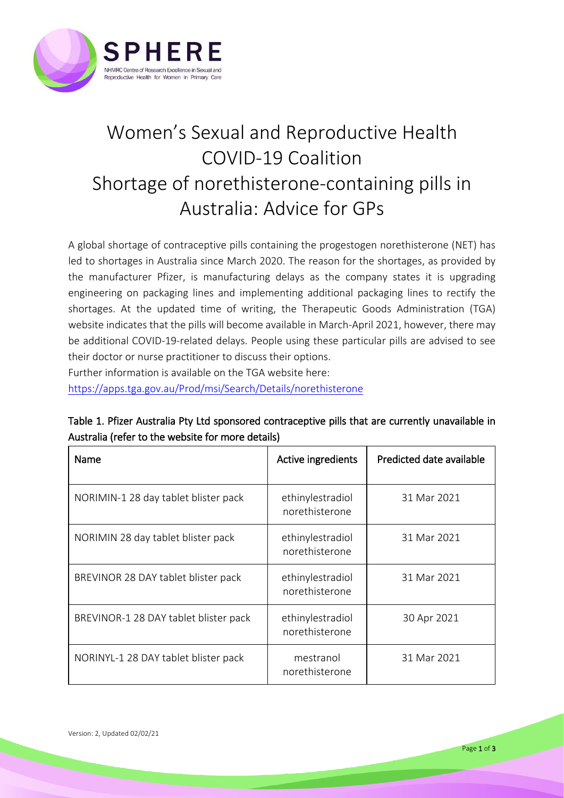

## Women's Sexual and Reproductive Health COVID-19 Coalition Shortage of norethisterone-containing pills in Australia: Advice for GPs

A global shortage of contraceptive pills containing the progestogen norethisterone (NET) has led to shortages in Australia since March 2020. The reason for the shortages, as provided by the manufacturer Pfizer, is manufacturing delays as the company states it is upgrading engineering on packaging lines and implementing additional packaging lines to rectify the shortages. At the updated time of writing, the Therapeutic Goods Administration (TGA) website indicates that the pills will become available in March-April 2021, however, there may be additional COVID-19-related delays. People using these particular pills are advised to see their doctor or nurse practitioner to discuss their options. Further information is available on the TGA website here:

<https://apps.tga.gov.au/Prod/msi/Search/Details/norethisterone>

Table 1. Pfizer Australia Pty Ltd sponsored contraceptive pills that are currently unavailable in Australia (refer to the website for more details)

| Name                                  | Active ingredients                 | Predicted date available |
|---------------------------------------|------------------------------------|--------------------------|
| NORIMIN-1 28 day tablet blister pack  | ethinylestradiol<br>norethisterone | 31 Mar 2021              |
| NORIMIN 28 day tablet blister pack    | ethinylestradiol<br>norethisterone | 31 Mar 2021              |
| BREVINOR 28 DAY tablet blister pack   | ethinylestradiol<br>norethisterone | 31 Mar 2021              |
| BREVINOR-1 28 DAY tablet blister pack | ethinylestradiol<br>norethisterone | 30 Apr 2021              |
| NORINYL-1 28 DAY tablet blister pack  | mestranol<br>norethisterone        | 31 Mar 2021              |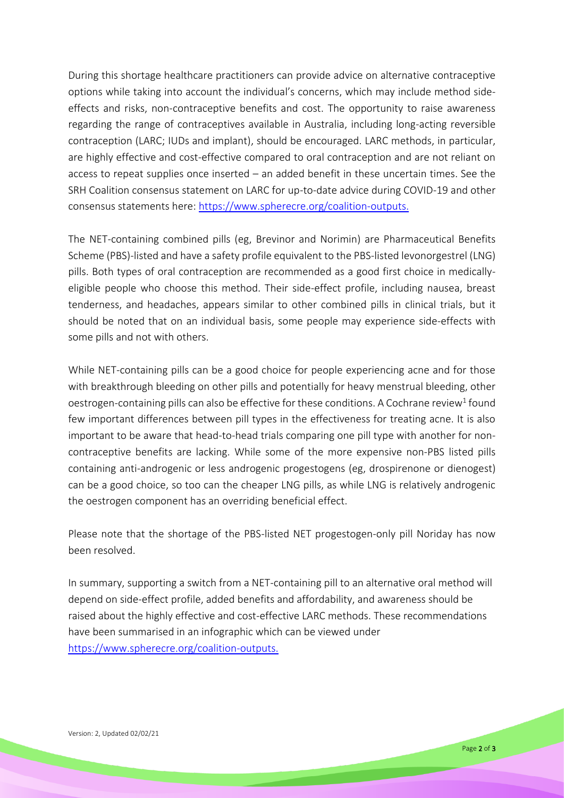During this shortage healthcare practitioners can provide advice on alternative contraceptive options while taking into account the individual's concerns, which may include method sideeffects and risks, non-contraceptive benefits and cost. The opportunity to raise awareness regarding the range of contraceptives available in Australia, including long-acting reversible contraception (LARC; IUDs and implant), should be encouraged. LARC methods, in particular, are highly effective and cost-effective compared to oral contraception and are not reliant on access to repeat supplies once inserted – an added benefit in these uncertain times. See the SRH Coalition consensus statement on LARC for up-to-date advice during COVID-19 and other consensus statements here: [https://www.spherecre.org/coalition-outputs.](https://www.spherecre.org/coalition-outputs)

The NET-containing combined pills (eg, Brevinor and Norimin) are Pharmaceutical Benefits Scheme (PBS)-listed and have a safety profile equivalent to the PBS-listed levonorgestrel (LNG) pills. Both types of oral contraception are recommended as a good first choice in medicallyeligible people who choose this method. Their side-effect profile, including nausea, breast tenderness, and headaches, appears similar to other combined pills in clinical trials, but it should be noted that on an individual basis, some people may experience side-effects with some pills and not with others.

While NET-containing pills can be a good choice for people experiencing acne and for those with breakthrough bleeding on other pills and potentially for heavy menstrual bleeding, other oestrogen-containing pills can also be effective for these conditions. A Cochrane review<sup>1</sup> found few important differences between pill types in the effectiveness for treating acne. It is also important to be aware that head-to-head trials comparing one pill type with another for noncontraceptive benefits are lacking. While some of the more expensive non-PBS listed pills containing anti-androgenic or less androgenic progestogens (eg, drospirenone or dienogest) can be a good choice, so too can the cheaper LNG pills, as while LNG is relatively androgenic the oestrogen component has an overriding beneficial effect.

Please note that the shortage of the PBS-listed NET progestogen-only pill Noriday has now been resolved.

In summary, supporting a switch from a NET-containing pill to an alternative oral method will depend on side-effect profile, added benefits and affordability, and awareness should be raised about the highly effective and cost-effective LARC methods. These recommendations have been summarised in an infographic which can be viewed under [https://www.spherecre.org/coalition-outputs.](https://www.spherecre.org/coalition-outputs)